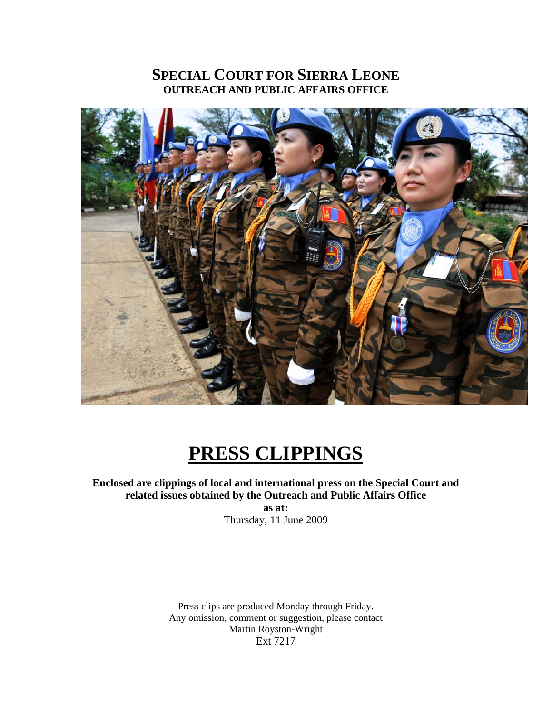# **SPECIAL COURT FOR SIERRA LEONE OUTREACH AND PUBLIC AFFAIRS OFFICE**



# **PRESS CLIPPINGS**

### **Enclosed are clippings of local and international press on the Special Court and related issues obtained by the Outreach and Public Affairs Office as at:**

Thursday, 11 June 2009

Press clips are produced Monday through Friday. Any omission, comment or suggestion, please contact Martin Royston-Wright Ext 7217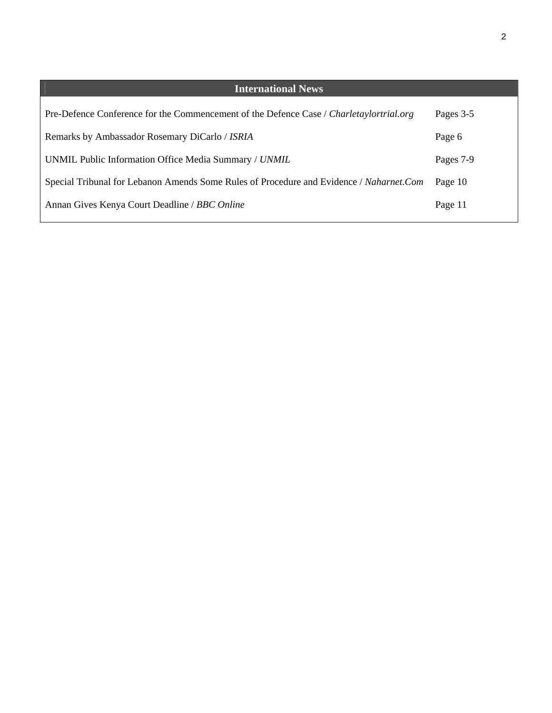| <b>International News</b>                                                               |           |
|-----------------------------------------------------------------------------------------|-----------|
| Pre-Defence Conference for the Commencement of the Defence Case / Charletaylortrial.org | Pages 3-5 |
| Remarks by Ambassador Rosemary DiCarlo / ISRIA                                          | Page 6    |
| UNMIL Public Information Office Media Summary / UNMIL                                   | Pages 7-9 |
| Special Tribunal for Lebanon Amends Some Rules of Procedure and Evidence / Naharnet.Com | Page 10   |
| Annan Gives Kenya Court Deadline / BBC Online                                           | Page 11   |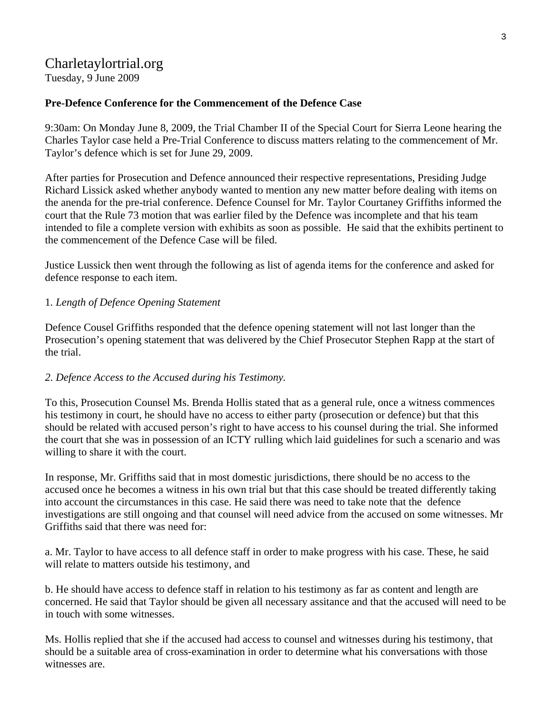# Charletaylortrial.org

Tuesday, 9 June 2009

### **[Pre-Defence Conference for the Commencement of the Defence Case](http://charlestaylortrial.org/2009/06/09/pre-trial-conference-for-the-commencement-of-the-defence-case/)**

9:30am: On Monday June 8, 2009, the Trial Chamber II of the Special Court for Sierra Leone hearing the Charles Taylor case held a Pre-Trial Conference to discuss matters relating to the commencement of Mr. Taylor's defence which is set for June 29, 2009.

After parties for Prosecution and Defence announced their respective representations, Presiding Judge Richard Lissick asked whether anybody wanted to mention any new matter before dealing with items on the anenda for the pre-trial conference. Defence Counsel for Mr. Taylor Courtaney Griffiths informed the court that the Rule 73 motion that was earlier filed by the Defence was incomplete and that his team intended to file a complete version with exhibits as soon as possible. He said that the exhibits pertinent to the commencement of the Defence Case will be filed.

Justice Lussick then went through the following as list of agenda items for the conference and asked for defence response to each item.

### 1*. Length of Defence Opening Statement*

Defence Cousel Griffiths responded that the defence opening statement will not last longer than the Prosecution's opening statement that was delivered by the Chief Prosecutor Stephen Rapp at the start of the trial.

#### *2. Defence Access to the Accused during his Testimony.*

To this, Prosecution Counsel Ms. Brenda Hollis stated that as a general rule, once a witness commences his testimony in court, he should have no access to either party (prosecution or defence) but that this should be related with accused person's right to have access to his counsel during the trial. She informed the court that she was in possession of an ICTY rulling which laid guidelines for such a scenario and was willing to share it with the court.

In response, Mr. Griffiths said that in most domestic jurisdictions, there should be no access to the accused once he becomes a witness in his own trial but that this case should be treated differently taking into account the circumstances in this case. He said there was need to take note that the defence investigations are still ongoing and that counsel will need advice from the accused on some witnesses. Mr Griffiths said that there was need for:

a. Mr. Taylor to have access to all defence staff in order to make progress with his case. These, he said will relate to matters outside his testimony, and

b. He should have access to defence staff in relation to his testimony as far as content and length are concerned. He said that Taylor should be given all necessary assitance and that the accused will need to be in touch with some witnesses.

Ms. Hollis replied that she if the accused had access to counsel and witnesses during his testimony, that should be a suitable area of cross-examination in order to determine what his conversations with those witnesses are.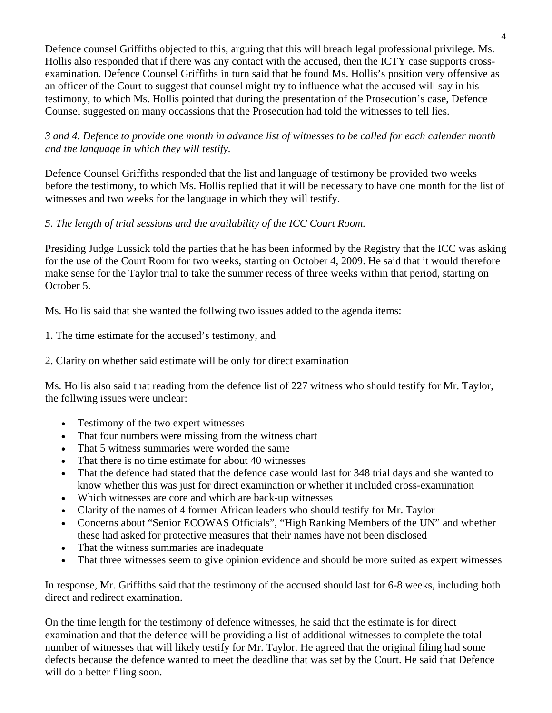Defence counsel Griffiths objected to this, arguing that this will breach legal professional privilege. Ms. Hollis also responded that if there was any contact with the accused, then the ICTY case supports crossexamination. Defence Counsel Griffiths in turn said that he found Ms. Hollis's position very offensive as an officer of the Court to suggest that counsel might try to influence what the accused will say in his testimony, to which Ms. Hollis pointed that during the presentation of the Prosecution's case, Defence Counsel suggested on many occassions that the Prosecution had told the witnesses to tell lies.

*3 and 4. Defence to provide one month in advance list of witnesses to be called for each calender month and the language in which they will testify.*

Defence Counsel Griffiths responded that the list and language of testimony be provided two weeks before the testimony, to which Ms. Hollis replied that it will be necessary to have one month for the list of witnesses and two weeks for the language in which they will testify.

# *5. The length of trial sessions and the availability of the ICC Court Room.*

Presiding Judge Lussick told the parties that he has been informed by the Registry that the ICC was asking for the use of the Court Room for two weeks, starting on October 4, 2009. He said that it would therefore make sense for the Taylor trial to take the summer recess of three weeks within that period, starting on October 5.

Ms. Hollis said that she wanted the follwing two issues added to the agenda items:

- 1. The time estimate for the accused's testimony, and
- 2. Clarity on whether said estimate will be only for direct examination

Ms. Hollis also said that reading from the defence list of 227 witness who should testify for Mr. Taylor, the follwing issues were unclear:

- Testimony of the two expert witnesses
- That four numbers were missing from the witness chart
- That 5 witness summaries were worded the same
- That there is no time estimate for about 40 witnesses
- That the defence had stated that the defence case would last for 348 trial days and she wanted to know whether this was just for direct examination or whether it included cross-examination
- Which witnesses are core and which are back-up witnesses
- Clarity of the names of 4 former African leaders who should testify for Mr. Taylor
- Concerns about "Senior ECOWAS Officials", "High Ranking Members of the UN" and whether these had asked for protective measures that their names have not been disclosed
- That the witness summaries are inadequate
- That three witnesses seem to give opinion evidence and should be more suited as expert witnesses

In response, Mr. Griffiths said that the testimony of the accused should last for 6-8 weeks, including both direct and redirect examination.

On the time length for the testimony of defence witnesses, he said that the estimate is for direct examination and that the defence will be providing a list of additional witnesses to complete the total number of witnesses that will likely testify for Mr. Taylor. He agreed that the original filing had some defects because the defence wanted to meet the deadline that was set by the Court. He said that Defence will do a better filing soon.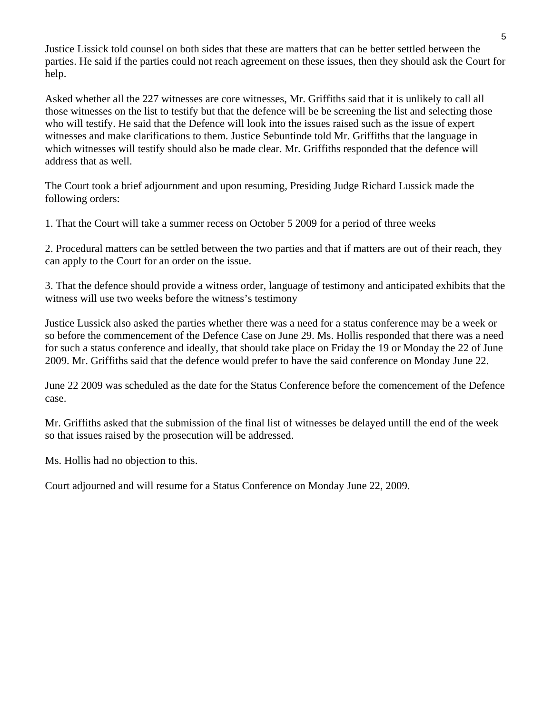Justice Lissick told counsel on both sides that these are matters that can be better settled between the parties. He said if the parties could not reach agreement on these issues, then they should ask the Court for help.

Asked whether all the 227 witnesses are core witnesses, Mr. Griffiths said that it is unlikely to call all those witnesses on the list to testify but that the defence will be be screening the list and selecting those who will testify. He said that the Defence will look into the issues raised such as the issue of expert witnesses and make clarifications to them. Justice Sebuntinde told Mr. Griffiths that the language in which witnesses will testify should also be made clear. Mr. Griffiths responded that the defence will address that as well.

The Court took a brief adjournment and upon resuming, Presiding Judge Richard Lussick made the following orders:

1. That the Court will take a summer recess on October 5 2009 for a period of three weeks

2. Procedural matters can be settled between the two parties and that if matters are out of their reach, they can apply to the Court for an order on the issue.

3. That the defence should provide a witness order, language of testimony and anticipated exhibits that the witness will use two weeks before the witness's testimony

Justice Lussick also asked the parties whether there was a need for a status conference may be a week or so before the commencement of the Defence Case on June 29. Ms. Hollis responded that there was a need for such a status conference and ideally, that should take place on Friday the 19 or Monday the 22 of June 2009. Mr. Griffiths said that the defence would prefer to have the said conference on Monday June 22.

June 22 2009 was scheduled as the date for the Status Conference before the comencement of the Defence case.

Mr. Griffiths asked that the submission of the final list of witnesses be delayed untill the end of the week so that issues raised by the prosecution will be addressed.

Ms. Hollis had no objection to this.

Court adjourned and will resume for a Status Conference on Monday June 22, 2009.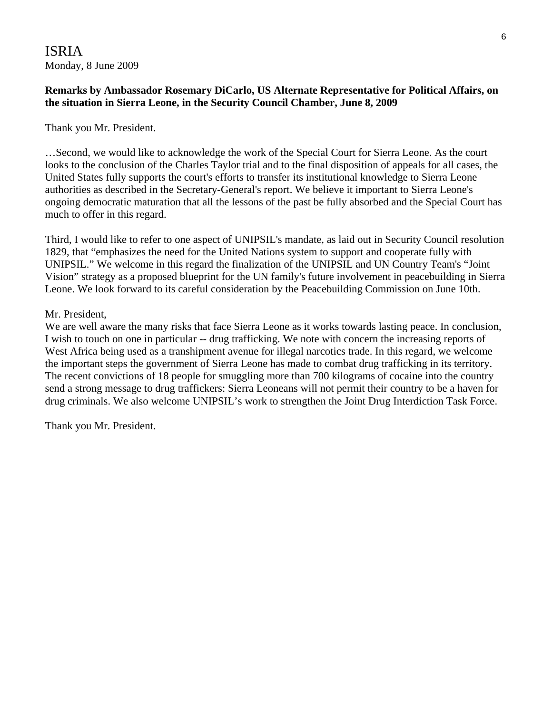# ISRIA Monday, 8 June 2009

# **Remarks by Ambassador Rosemary DiCarlo, US Alternate Representative for Political Affairs, on the situation in Sierra Leone, in the Security Council Chamber, June 8, 2009**

#### Thank you Mr. President.

…Second, we would like to acknowledge the work of the Special Court for Sierra Leone. As the court looks to the conclusion of the Charles Taylor trial and to the final disposition of appeals for all cases, the United States fully supports the court's efforts to transfer its institutional knowledge to Sierra Leone authorities as described in the Secretary-General's report. We believe it important to Sierra Leone's ongoing democratic maturation that all the lessons of the past be fully absorbed and the Special Court has much to offer in this regard.

Third, I would like to refer to one aspect of UNIPSIL's mandate, as laid out in Security Council resolution 1829, that "emphasizes the need for the United Nations system to support and cooperate fully with UNIPSIL." We welcome in this regard the finalization of the UNIPSIL and UN Country Team's "Joint Vision" strategy as a proposed blueprint for the UN family's future involvement in peacebuilding in Sierra Leone. We look forward to its careful consideration by the Peacebuilding Commission on June 10th.

#### Mr. President,

We are well aware the many risks that face Sierra Leone as it works towards lasting peace. In conclusion, I wish to touch on one in particular -- drug trafficking. We note with concern the increasing reports of West Africa being used as a transhipment avenue for illegal narcotics trade. In this regard, we welcome the important steps the government of Sierra Leone has made to combat drug trafficking in its territory. The recent convictions of 18 people for smuggling more than 700 kilograms of cocaine into the country send a strong message to drug traffickers: Sierra Leoneans will not permit their country to be a haven for drug criminals. We also welcome UNIPSIL's work to strengthen the Joint Drug Interdiction Task Force.

Thank you Mr. President.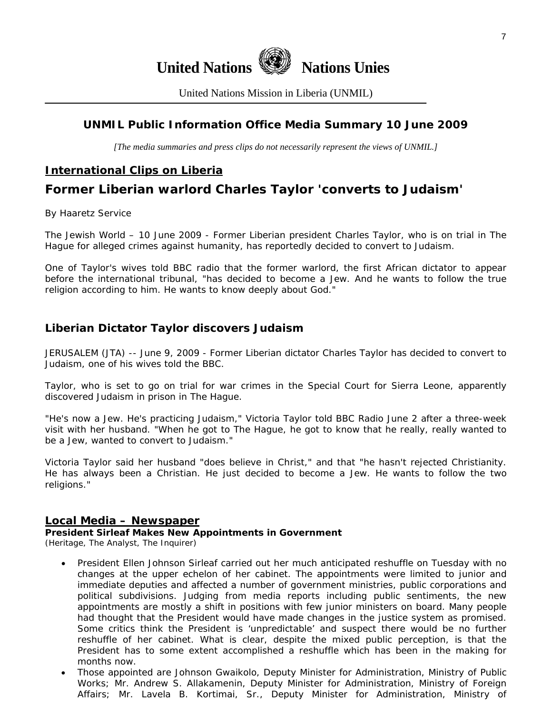

United Nations Mission in Liberia (UNMIL)

# **UNMIL Public Information Office Media Summary 10 June 2009**

*[The media summaries and press clips do not necessarily represent the views of UNMIL.]* 

# **International Clips on Liberia**

# **Former Liberian warlord Charles Taylor 'converts to Judaism'**

By Haaretz Service

The Jewish World – 10 June 2009 - Former Liberian president Charles Taylor, who is on trial in The Hague for alleged crimes against humanity, has reportedly decided to convert to Judaism.

One of Taylor's wives told BBC radio that the former warlord, the first African dictator to appear before the international tribunal, "has decided to become a Jew. And he wants to follow the true religion according to him. He wants to know deeply about God."

## **Liberian Dictator Taylor discovers Judaism**

JERUSALEM (JTA) -- June 9, 2009 - Former Liberian dictator Charles Taylor has decided to convert to Judaism, one of his wives told the BBC.

Taylor, who is set to go on trial for war crimes in the Special Court for Sierra Leone, apparently discovered Judaism in prison in The Hague.

"He's now a Jew. He's practicing Judaism," Victoria Taylor told BBC Radio June 2 after a three-week visit with her husband. "When he got to The Hague, he got to know that he really, really wanted to be a Jew, wanted to convert to Judaism."

Victoria Taylor said her husband "does believe in Christ," and that "he hasn't rejected Christianity. He has always been a Christian. He just decided to become a Jew. He wants to follow the two religions."

#### **Local Media – Newspaper**

#### **President Sirleaf Makes New Appointments in Government**

(Heritage, The Analyst, The Inquirer)

- President Ellen Johnson Sirleaf carried out her much anticipated reshuffle on Tuesday with no changes at the upper echelon of her cabinet. The appointments were limited to junior and immediate deputies and affected a number of government ministries, public corporations and political subdivisions. Judging from media reports including public sentiments, the new appointments are mostly a shift in positions with few junior ministers on board. Many people had thought that the President would have made changes in the justice system as promised. Some critics think the President is 'unpredictable' and suspect there would be no further reshuffle of her cabinet. What is clear, despite the mixed public perception, is that the President has to some extent accomplished a reshuffle which has been in the making for months now.
- Those appointed are Johnson Gwaikolo, Deputy Minister for Administration, Ministry of Public Works; Mr. Andrew S. Allakamenin, Deputy Minister for Administration, Ministry of Foreign Affairs; Mr. Lavela B. Kortimai, Sr., Deputy Minister for Administration, Ministry of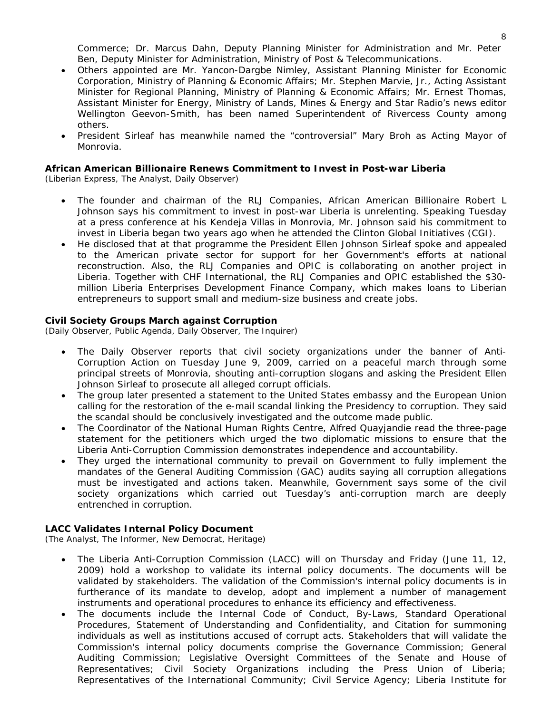Commerce; Dr. Marcus Dahn, Deputy Planning Minister for Administration and Mr. Peter Ben, Deputy Minister for Administration, Ministry of Post & Telecommunications.

- Others appointed are Mr. Yancon-Dargbe Nimley, Assistant Planning Minister for Economic Corporation, Ministry of Planning & Economic Affairs; Mr. Stephen Marvie, Jr., Acting Assistant Minister for Regional Planning, Ministry of Planning & Economic Affairs; Mr. Ernest Thomas, Assistant Minister for Energy, Ministry of Lands, Mines & Energy and Star Radio's news editor Wellington Geevon-Smith, has been named Superintendent of Rivercess County among others.
- President Sirleaf has meanwhile named the "controversial" Mary Broh as Acting Mayor of Monrovia.

#### **African American Billionaire Renews Commitment to Invest in Post-war Liberia**

(Liberian Express, The Analyst, Daily Observer)

- The founder and chairman of the RLJ Companies, African American Billionaire Robert L Johnson says his commitment to invest in post-war Liberia is unrelenting. Speaking Tuesday at a press conference at his Kendeja Villas in Monrovia, Mr. Johnson said his commitment to invest in Liberia began two years ago when he attended the Clinton Global Initiatives (CGI).
- He disclosed that at that programme the President Ellen Johnson Sirleaf spoke and appealed to the American private sector for support for her Government's efforts at national reconstruction. Also, the RLJ Companies and OPIC is collaborating on another project in Liberia. Together with CHF International, the RLJ Companies and OPIC established the \$30 million Liberia Enterprises Development Finance Company, which makes loans to Liberian entrepreneurs to support small and medium-size business and create jobs.

#### **Civil Society Groups March against Corruption**

(Daily Observer, Public Agenda, Daily Observer, The Inquirer)

- The Daily Observer reports that civil society organizations under the banner of Anti-Corruption Action on Tuesday June 9, 2009, carried on a peaceful march through some principal streets of Monrovia, shouting anti-corruption slogans and asking the President Ellen Johnson Sirleaf to prosecute all alleged corrupt officials.
- The group later presented a statement to the United States embassy and the European Union calling for the restoration of the e-mail scandal linking the Presidency to corruption. They said the scandal should be conclusively investigated and the outcome made public.
- The Coordinator of the National Human Rights Centre, Alfred Quayjandie read the three-page statement for the petitioners which urged the two diplomatic missions to ensure that the Liberia Anti-Corruption Commission demonstrates independence and accountability.
- They urged the international community to prevail on Government to fully implement the mandates of the General Auditing Commission (GAC) audits saying all corruption allegations must be investigated and actions taken. Meanwhile, Government says some of the civil society organizations which carried out Tuesday's anti-corruption march are deeply entrenched in corruption.

#### **LACC Validates Internal Policy Document**

(The Analyst, The Informer, New Democrat, Heritage)

- The Liberia Anti-Corruption Commission (LACC) will on Thursday and Friday (June 11, 12, 2009) hold a workshop to validate its internal policy documents. The documents will be validated by stakeholders. The validation of the Commission's internal policy documents is in furtherance of its mandate to develop, adopt and implement a number of management instruments and operational procedures to enhance its efficiency and effectiveness.
- The documents include the Internal Code of Conduct, By-Laws, Standard Operational Procedures, Statement of Understanding and Confidentiality, and Citation for summoning individuals as well as institutions accused of corrupt acts. Stakeholders that will validate the Commission's internal policy documents comprise the Governance Commission; General Auditing Commission; Legislative Oversight Committees of the Senate and House of Representatives; Civil Society Organizations including the Press Union of Liberia; Representatives of the International Community; Civil Service Agency; Liberia Institute for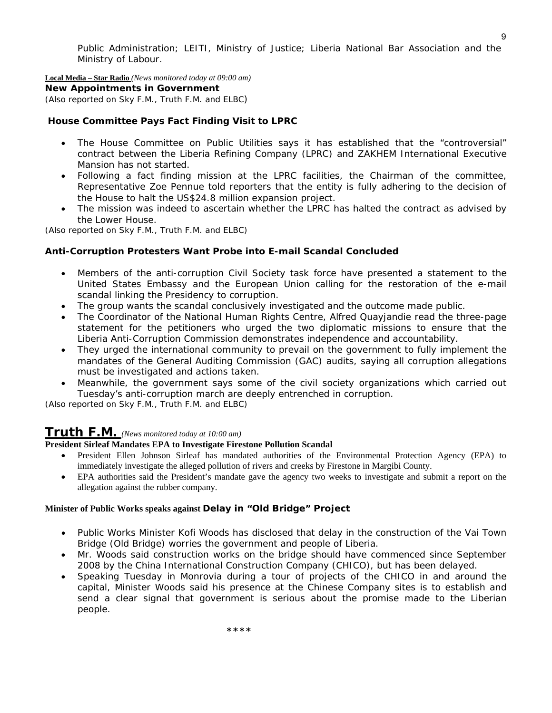Public Administration; LEITI, Ministry of Justice; Liberia National Bar Association and the Ministry of Labour.

**Local Media – Star Radio** *(News monitored today at 09:00 am)* 

**New Appointments in Government** 

*(Also reported on Sky F.M., Truth F.M. and ELBC)*

#### **House Committee Pays Fact Finding Visit to LPRC**

- The House Committee on Public Utilities says it has established that the "controversial" contract between the Liberia Refining Company (LPRC) and ZAKHEM International Executive Mansion has not started.
- Following a fact finding mission at the LPRC facilities, the Chairman of the committee, Representative Zoe Pennue told reporters that the entity is fully adhering to the decision of the House to halt the US\$24.8 million expansion project.
- The mission was indeed to ascertain whether the LPRC has halted the contract as advised by the Lower House.

*(Also reported on Sky F.M., Truth F.M. and ELBC)*

#### **Anti-Corruption Protesters Want Probe into E-mail Scandal Concluded**

- Members of the anti-corruption Civil Society task force have presented a statement to the United States Embassy and the European Union calling for the restoration of the e-mail scandal linking the Presidency to corruption.
- The group wants the scandal conclusively investigated and the outcome made public.
- The Coordinator of the National Human Rights Centre, Alfred Quayjandie read the three-page statement for the petitioners who urged the two diplomatic missions to ensure that the Liberia Anti-Corruption Commission demonstrates independence and accountability.
- They urged the international community to prevail on the government to fully implement the mandates of the General Auditing Commission (GAC) audits, saying all corruption allegations must be investigated and actions taken.
- Meanwhile, the government says some of the civil society organizations which carried out Tuesday's anti-corruption march are deeply entrenched in corruption.

*(Also reported on Sky F.M., Truth F.M. and ELBC)*

#### **Truth F.M.** *(News monitored today at 10:00 am)*

#### **President Sirleaf Mandates EPA to Investigate Firestone Pollution Scandal**

- President Ellen Johnson Sirleaf has mandated authorities of the Environmental Protection Agency (EPA) to immediately investigate the alleged pollution of rivers and creeks by Firestone in Margibi County.
- EPA authorities said the President's mandate gave the agency two weeks to investigate and submit a report on the allegation against the rubber company.

#### **Minister of Public Works speaks against Delay in "Old Bridge" Project**

- Public Works Minister Kofi Woods has disclosed that delay in the construction of the Vai Town Bridge (Old Bridge) worries the government and people of Liberia.
- Mr. Woods said construction works on the bridge should have commenced since September 2008 by the China International Construction Company (CHICO), but has been delayed.
- Speaking Tuesday in Monrovia during a tour of projects of the CHICO in and around the capital, Minister Woods said his presence at the Chinese Company sites is to establish and send a clear signal that government is serious about the promise made to the Liberian people.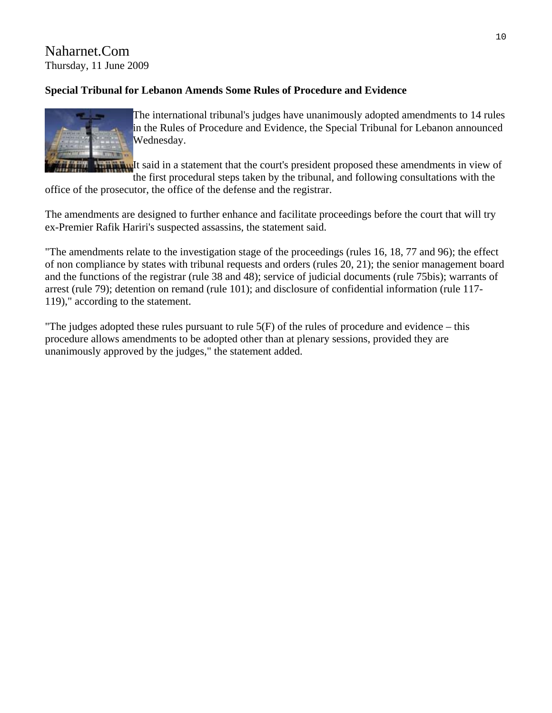Naharnet.Com Thursday, 11 June 2009

# **Special Tribunal for Lebanon Amends Some Rules of Procedure and Evidence**



The international tribunal's judges have unanimously adopted amendments to 14 rules in the Rules of Procedure and Evidence, the Special Tribunal for Lebanon announced Wednesday.

**It is a** statement that the court's president proposed these amendments in view of the first procedural steps taken by the tribunal, and following consultations with the

office of the prosecutor, the office of the defense and the registrar.

The amendments are designed to further enhance and facilitate proceedings before the court that will try ex-Premier Rafik Hariri's suspected assassins, the statement said.

"The amendments relate to the investigation stage of the proceedings (rules 16, 18, 77 and 96); the effect of non compliance by states with tribunal requests and orders (rules 20, 21); the senior management board and the functions of the registrar (rule 38 and 48); service of judicial documents (rule 75bis); warrants of arrest (rule 79); detention on remand (rule 101); and disclosure of confidential information (rule 117- 119)," according to the statement.

"The judges adopted these rules pursuant to rule  $5(F)$  of the rules of procedure and evidence – this procedure allows amendments to be adopted other than at plenary sessions, provided they are unanimously approved by the judges," the statement added.